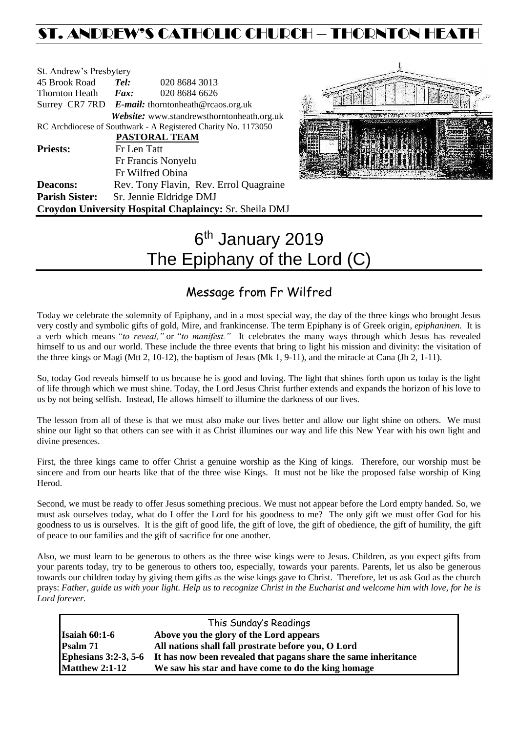## ST. ANDREW'S CATHOLIC CHURCH – THORNTON HEAT

| St. Andrew's Presbytery |                                                      |                                                                |  |
|-------------------------|------------------------------------------------------|----------------------------------------------------------------|--|
| 45 Brook Road           | Tel:                                                 | 020 8684 3013                                                  |  |
| Thornton Heath          | Fax:                                                 | 020 8684 6626                                                  |  |
|                         | Surrey CR7 7RD $E$ -mail: thorntonheath@rcaos.org.uk |                                                                |  |
|                         |                                                      | Website: www.standrewsthorntonheath.org.uk                     |  |
|                         |                                                      | RC Archdiocese of Southwark - A Registered Charity No. 1173050 |  |
|                         |                                                      | <b>PASTORAL TEAM</b>                                           |  |
| <b>Priests:</b>         | Fr Len Tatt                                          |                                                                |  |
|                         |                                                      | Fr Francis Nonyelu                                             |  |
|                         |                                                      | Fr Wilfred Obina                                               |  |
| <b>Deacons:</b>         |                                                      | Rev. Tony Flavin, Rev. Errol Quagraine                         |  |
| <b>Parish Sister:</b>   |                                                      | Sr. Jennie Eldridge DMJ                                        |  |
|                         |                                                      | Croydon University Hospital Chaplaincy: Sr. Sheila DMJ         |  |



# 6<sup>th</sup> January 2019 The Epiphany of the Lord (C)

### Message from Fr Wilfred

Today we celebrate the solemnity of Epiphany, and in a most special way, the day of the three kings who brought Jesus very costly and symbolic gifts of gold, Mire, and frankincense. The term Epiphany is of Greek origin, *epiphaninen*. It is a verb which means *"to reveal,"* or *"to manifest."* It celebrates the many ways through which Jesus has revealed himself to us and our world. These include the three events that bring to light his mission and divinity: the visitation of the three kings or Magi (Mtt 2, 10-12), the baptism of Jesus (Mk 1, 9-11), and the miracle at Cana (Jh 2, 1-11).

So, today God reveals himself to us because he is good and loving. The light that shines forth upon us today is the light of life through which we must shine. Today, the Lord Jesus Christ further extends and expands the horizon of his love to us by not being selfish. Instead, He allows himself to illumine the darkness of our lives.

The lesson from all of these is that we must also make our lives better and allow our light shine on others. We must shine our light so that others can see with it as Christ illumines our way and life this New Year with his own light and divine presences.

First, the three kings came to offer Christ a genuine worship as the King of kings. Therefore, our worship must be sincere and from our hearts like that of the three wise Kings. It must not be like the proposed false worship of King Herod.

Second, we must be ready to offer Jesus something precious. We must not appear before the Lord empty handed. So, we must ask ourselves today, what do I offer the Lord for his goodness to me? The only gift we must offer God for his goodness to us is ourselves. It is the gift of good life, the gift of love, the gift of obedience, the gift of humility, the gift of peace to our families and the gift of sacrifice for one another.

Also, we must learn to be generous to others as the three wise kings were to Jesus. Children, as you expect gifts from your parents today, try to be generous to others too, especially, towards your parents. Parents, let us also be generous towards our children today by giving them gifts as the wise kings gave to Christ. Therefore, let us ask God as the church prays: *Father, guide us with your light. Help us to recognize Christ in the Eucharist and welcome him with love, for he is Lord forever.*

| This Sunday's Readings |                                                                 |  |  |  |
|------------------------|-----------------------------------------------------------------|--|--|--|
| Isaiah $60:1-6$        | Above you the glory of the Lord appears                         |  |  |  |
| Psalm 71               | All nations shall fall prostrate before you, O Lord             |  |  |  |
| Ephesians $3:2-3, 5-6$ | It has now been revealed that pagans share the same inheritance |  |  |  |
| <b>Matthew 2:1-12</b>  | We saw his star and have come to do the king homage             |  |  |  |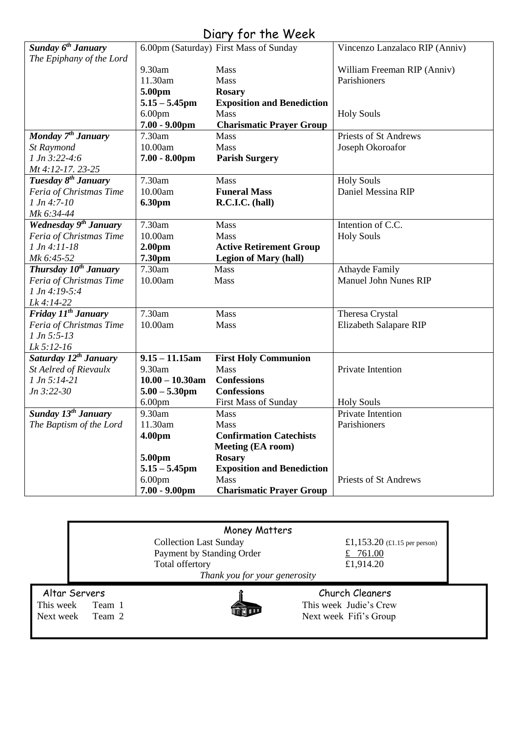# Diary for the Week

| Sunday 6 <sup>th</sup> January    |                    | 6.00pm (Saturday) First Mass of Sunday | Vincenzo Lanzalaco RIP (Anniv) |
|-----------------------------------|--------------------|----------------------------------------|--------------------------------|
| The Epiphany of the Lord          |                    |                                        |                                |
|                                   | 9.30am             | <b>Mass</b>                            | William Freeman RIP (Anniv)    |
|                                   | 11.30am            | Mass                                   | Parishioners                   |
|                                   | 5.00pm             | <b>Rosary</b>                          |                                |
|                                   | $5.15 - 5.45$ pm   | <b>Exposition and Benediction</b>      |                                |
|                                   | 6.00 <sub>pm</sub> | Mass                                   | <b>Holy Souls</b>              |
|                                   | $7.00 - 9.00$ pm   | <b>Charismatic Prayer Group</b>        |                                |
| Monday 7 <sup>th</sup> January    | 7.30am             | Mass                                   | <b>Priests of St Andrews</b>   |
| St Raymond                        | 10.00am            | Mass                                   | Joseph Okoroafor               |
| $1 Jn 3:22-4:6$                   | $7.00 - 8.00$ pm   | <b>Parish Surgery</b>                  |                                |
| Mt 4:12-17. 23-25                 |                    |                                        |                                |
| Tuesday 8 <sup>th</sup> January   | 7.30am             | Mass                                   | <b>Holy Souls</b>              |
| Feria of Christmas Time           | 10.00am            | <b>Funeral Mass</b>                    | Daniel Messina RIP             |
| $1 Jn 4:7-10$                     | 6.30pm             | R.C.I.C. (hall)                        |                                |
| Mk 6:34-44                        |                    |                                        |                                |
| Wednesday 9 <sup>th</sup> January | 7.30am             | Mass                                   | Intention of C.C.              |
| Feria of Christmas Time           | 10.00am            | Mass                                   | <b>Holy Souls</b>              |
| $1 Jn 4:11-18$                    | 2.00pm             | <b>Active Retirement Group</b>         |                                |
| Mk 6:45-52                        | 7.30pm             | <b>Legion of Mary (hall)</b>           |                                |
| Thursday 10 <sup>th</sup> January | 7.30am             | Mass                                   | <b>Athayde Family</b>          |
| Feria of Christmas Time           | 10.00am            | Mass                                   | <b>Manuel John Nunes RIP</b>   |
| $1 Jn 4:19-5:4$                   |                    |                                        |                                |
| Lk 4:14-22                        |                    |                                        |                                |
| Friday $11^{th}$ January          | 7.30am             | Mass                                   | Theresa Crystal                |
| Feria of Christmas Time           | 10.00am            | Mass                                   | Elizabeth Salapare RIP         |
| $1 Jn 5:5-13$                     |                    |                                        |                                |
| Lk 5:12-16                        |                    |                                        |                                |
| Saturday 12 <sup>th</sup> January | $9.15 - 11.15$ am  | <b>First Holy Communion</b>            |                                |
| St Aelred of Rievaulx             | 9.30am             | Mass                                   | Private Intention              |
| $1 Jn 5:14-21$                    | $10.00 - 10.30$ am | <b>Confessions</b>                     |                                |
| $Jn 3:22-30$                      | $5.00 - 5.30$ pm   | <b>Confessions</b>                     |                                |
|                                   | 6.00 <sub>pm</sub> | First Mass of Sunday                   | <b>Holy Souls</b>              |
| Sunday 13 <sup>th</sup> January   | 9.30am             | Mass                                   | <b>Private Intention</b>       |
| The Baptism of the Lord           | 11.30am            | Mass                                   | Parishioners                   |
|                                   | 4.00pm             | <b>Confirmation Catechists</b>         |                                |
|                                   |                    | Meeting (EA room)                      |                                |
|                                   | 5.00pm             | <b>Rosary</b>                          |                                |
|                                   | $5.15 - 5.45$ pm   | <b>Exposition and Benediction</b>      |                                |
|                                   | 6.00 <sub>pm</sub> | <b>Mass</b>                            | Priests of St Andrews          |
|                                   | $7.00 - 9.00$ pm   | <b>Charismatic Prayer Group</b>        |                                |
|                                   |                    |                                        |                                |

|                                      | Money Matters                                              |                                                                       |
|--------------------------------------|------------------------------------------------------------|-----------------------------------------------------------------------|
|                                      | <b>Collection Last Sunday</b><br>Payment by Standing Order | £1,153.20 $(\text{\textsterling}1.15 \text{ per person})$<br>£ 761.00 |
|                                      | Total offertory                                            | £1,914.20                                                             |
|                                      | Thank you for your generosity                              |                                                                       |
| Altar Servers<br>This week<br>Team 1 |                                                            | Church Cleaners<br>This week Judie's Crew                             |
| Next week<br>Team 2                  |                                                            | Next week Fifi's Group                                                |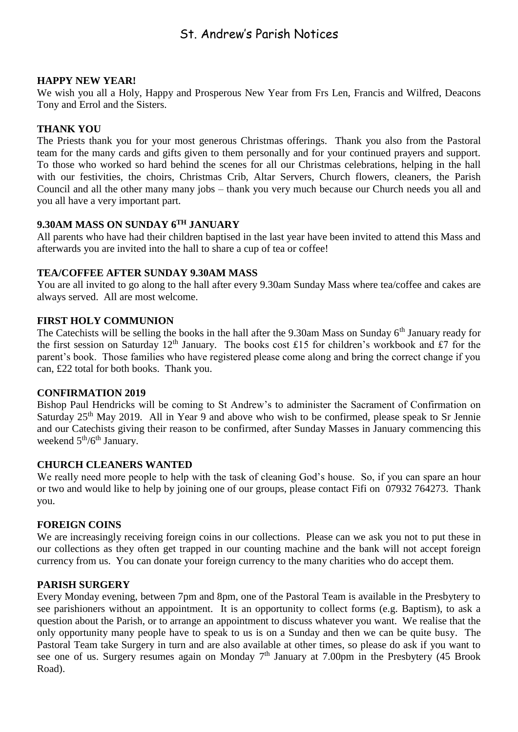### St. Andrew's Parish Notices

#### **HAPPY NEW YEAR!**

We wish you all a Holy, Happy and Prosperous New Year from Frs Len, Francis and Wilfred, Deacons Tony and Errol and the Sisters.

#### **THANK YOU**

The Priests thank you for your most generous Christmas offerings. Thank you also from the Pastoral team for the many cards and gifts given to them personally and for your continued prayers and support. To those who worked so hard behind the scenes for all our Christmas celebrations, helping in the hall with our festivities, the choirs, Christmas Crib, Altar Servers, Church flowers, cleaners, the Parish Council and all the other many many jobs – thank you very much because our Church needs you all and you all have a very important part.

#### **9.30AM MASS ON SUNDAY 6TH JANUARY**

All parents who have had their children baptised in the last year have been invited to attend this Mass and afterwards you are invited into the hall to share a cup of tea or coffee!

#### **TEA/COFFEE AFTER SUNDAY 9.30AM MASS**

You are all invited to go along to the hall after every 9.30am Sunday Mass where tea/coffee and cakes are always served. All are most welcome.

#### **FIRST HOLY COMMUNION**

The Catechists will be selling the books in the hall after the 9.30am Mass on Sunday 6<sup>th</sup> January ready for the first session on Saturday 12<sup>th</sup> January. The books cost £15 for children's workbook and £7 for the parent's book. Those families who have registered please come along and bring the correct change if you can, £22 total for both books. Thank you.

#### **CONFIRMATION 2019**

Bishop Paul Hendricks will be coming to St Andrew's to administer the Sacrament of Confirmation on Saturday 25<sup>th</sup> May 2019. All in Year 9 and above who wish to be confirmed, please speak to Sr Jennie and our Catechists giving their reason to be confirmed, after Sunday Masses in January commencing this weekend  $5<sup>th</sup>/6<sup>th</sup>$  January.

#### **CHURCH CLEANERS WANTED**

We really need more people to help with the task of cleaning God's house. So, if you can spare an hour or two and would like to help by joining one of our groups, please contact Fifi on 07932 764273. Thank you.

#### **FOREIGN COINS**

We are increasingly receiving foreign coins in our collections. Please can we ask you not to put these in our collections as they often get trapped in our counting machine and the bank will not accept foreign currency from us. You can donate your foreign currency to the many charities who do accept them.

#### **PARISH SURGERY**

Every Monday evening, between 7pm and 8pm, one of the Pastoral Team is available in the Presbytery to see parishioners without an appointment. It is an opportunity to collect forms (e.g. Baptism), to ask a question about the Parish, or to arrange an appointment to discuss whatever you want. We realise that the only opportunity many people have to speak to us is on a Sunday and then we can be quite busy. The Pastoral Team take Surgery in turn and are also available at other times, so please do ask if you want to see one of us. Surgery resumes again on Monday 7<sup>th</sup> January at 7.00pm in the Presbytery (45 Brook Road).